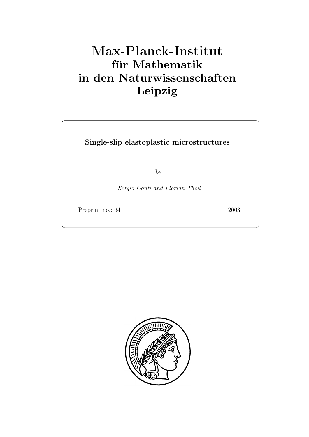# **für Mathematik in den Naturwissenschaften Leipzig**

**Single-slip elastoplastic microstructures**

by

Sergio Conti and Florian Theil

Preprint no.: 64 2003

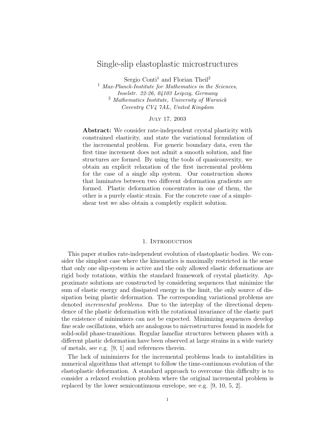# $S \cap \Gamma$  slip elastoplastic microstructures

Sergio Conti<sup>1</sup> and Florian Theil<sup>2</sup>

<sup>1</sup> *Max-Planck-Institute for Mathematics in the Sciences, Inselstr. 22-26, 04103 Leipzig, Germany* <sup>2</sup> *Mathematics Institute, University of Warwick Coventry CV4 7AL, United Kingdom*

## July 17, 2003

**Abstract:** We consider rate-independent crystal plasticity with constrained elasticity, and state the variational formulation of the incremental problem. For generic boundary data, even the first time increment does not admit a smooth solution, and fine structures are formed. By using the tools of quasiconvexity, we obtain an explicit relaxation of the first incremental problem for the case of a single slip system. Our construction shows that laminates between two different deformation gradients are formed. Plastic deformation concentrates in one of them, the other is a purely elastic strain. For the concrete case of a simpleshear test we also obtain a completly explicit solution.

#### 1. INTRODUCTION

This paper studies rate-independent evolution of elastoplastic bodies. We consider the simplest case where the kinematics is maximally restricted in the sense that only one slip-system is active and the only allowed elastic deformations are rigid body rotations, within the standard framework of crystal plasticity. Approximate solutions are constructed by considering sequences that minimize the sum of elastic energy and dissipated energy in the limit, the only source of dissipation being plastic deformation. The corresponding variational problems are denoted incremental problems. Due to the interplay of the directional dependence of the plastic deformation with the rotational invariance of the elastic part the existence of minimizers can not be expected. Minimizing sequences develop fine scale oscillations, which are analogous to microstructures found in models for solid-solid phase-transitions. Regular lamellar structures between phases with a different plastic deformation have been observed at large strains in a wide variety of metals, see e.g. [9, 1] and references therein.

The lack of minimizers for the incremental problems leads to instabilities in numerical algorithms that attempt to follow the time-continuous evolution of the elastoplastic deformation. A standard approach to overcome this difficulty is to consider a relaxed evolution problem where the original incremental problem is replaced by the lower semicontinuous envelope, see e.g. [9, 10, 5, 2].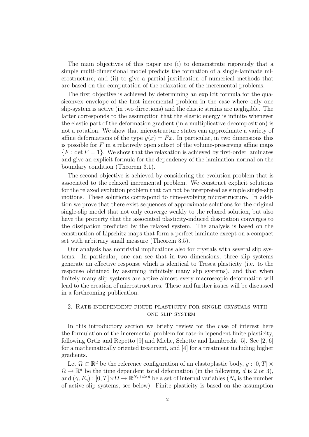The main objectives of this paper are (i) to demonstrate rigorously that a simple multi-dimensional model predicts the formation of a single-laminate microstructure; and (ii) to give a partial justification of numerical methods that are based on the computation of the relaxation of the incremental problems.

The first objective is achieved by determining an explicit formula for the quasiconvex envelope of the first incremental problem in the case where only one slip-system is active (in two directions) and the elastic strains are negligible. The latter corresponds to the assumption that the elastic energy is infinite whenever the elastic part of the deformation gradient (in a multiplicative decomposition) is not a rotation. We show that microstructure states can approximate a variety of affine deformations of the type  $y(x) = Fx$ . In particular, in two dimensions this is possible for  $F$  in a relatively open subset of the volume-preserving affine maps  ${F : \det F = 1}.$  We show that the relaxation is achieved by first-order laminates and give an explicit formula for the dependency of the lamination-normal on the boundary condition (Theorem 3.1).

The second objective is achieved by considering the evolution problem that is associated to the relaxed incremental problem. We construct explicit solutions for the relaxed evolution problem that can not be interpreted as simple single-slip motions. These solutions correspond to time-evolving microstructure. In addition we prove that there exist sequences of approximate solutions for the original single-slip model that not only converge weakly to the relaxed solution, but also have the property that the associated plasticity-induced dissipation converges to the dissipation predicted by the relaxed system. The analysis is based on the construction of Lipschitz-maps that form a perfect laminate except on a compact set with arbitrary small measure (Theorem 3.5).

Our analysis has nontrivial implications also for crystals with several slip systems. In particular, one can see that in two dimensions, three slip systems generate an effective response which is identical to Tresca plasticity (i.e. to the response obtained by assuming infinitely many slip systems), and that when finitely many slip systems are active almost every macroscopic deformation will lead to the creation of microstructures. These and further issues will be discussed in a forthcoming publication.

## 2. Rate-independent finite plasticity for single crystals with one slip system

In this introductory section we briefly review for the case of interest here the formulation of the incremental problem for rate-independent finite plasticity, following Ortiz and Repetto [9] and Miehe, Schotte and Lambrecht [5]. See [2, 6] for a mathematically oriented treatment, and [4] for a treatment including higher gradients.

Let  $\Omega \subset \mathbb{R}^d$  be the reference configuration of an elastoplastic body,  $y : [0, T] \times$  $\Omega \to \mathbb{R}^d$  be the time dependent total deformation (in the following, d is 2 or 3), and  $(\gamma, F_p) : [0, T] \times \Omega \to \mathbb{R}^{N_s+d \times d}$  be a set of internal variables  $(N_s \text{ is the number})$ of active slip systems, see below). Finite plasticity is based on the assumption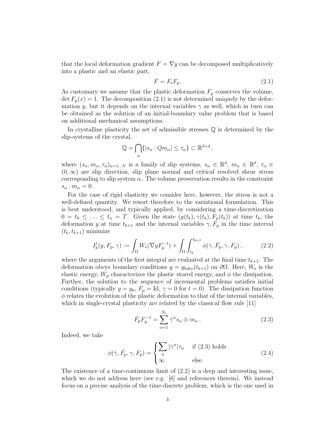that the local deformation gradient  $F = \nabla y$  can be decomposed multiplicatively into a plastic and an elastic part,

$$
F = F_{\rm e} F_{\rm p}.\tag{2.1}
$$

As customary we assume that the plastic deformation  $F<sub>p</sub>$  conserves the volume,  $\det F_{p}(x) = 1$ . The decomposition (2.1) is not determined uniquely by the deformation y, but it depends on the internal variables  $\gamma$  as well, which in turn can be obtained as the solution of an initial-boundary value problem that is based on additional mechanical assumptions.

In crystalline plasticity the set of admissible stresses  $\mathbb Q$  is determined by the slip-systems of the crystal,

$$
\mathbb{Q} = \bigcap_{\alpha} \{ |s_{\alpha} \cdot Qm_{\alpha}| \leq \tau_{\alpha} \} \subset \mathbb{R}^{d \times d},
$$

where  $(s_\alpha, m_\alpha, \tau_\alpha)_{\alpha=1...N}$  is a family of slip systems,  $s_\alpha \in \mathbb{R}^d$ ,  $m_\alpha \in \mathbb{R}^d$ ,  $\tau_\alpha \in$  $(0, \infty)$  are slip direction, slip plane normal and critical resolved shear stress corresponding to slip system  $\alpha$ . The volume preservation results in the constraint  $s_{\alpha} \cdot m_{\alpha} = 0.$ 

For the case of rigid elasticity we consider here, however, the stress is not a well-defined quantity. We resort therefore to the variational formulation. This is best understood, and typically applied, by considering a time-discretization  $0 = t_0 \leq \ldots \leq t_n = T$ . Given the state  $(y(t_k), \gamma(t_k), F_p(t_k))$  at time  $t_k$ , the deformation y at time  $t_{k+1}$  and the internal variables  $\gamma$ ,  $F_p$  in the time interval  $(t_k, t_{k+1})$  minimize

$$
I'_k(y, F_\mathbf{p}, \gamma) := \int_{\Omega} W_\mathbf{e}(\nabla y F_\mathbf{p}^{-1}) + \int_{\Omega} \int_{t_k}^{t_{k+1}} \phi(\dot{\gamma}, \dot{F}_\mathbf{p}, \gamma, F_\mathbf{p}), \tag{2.2}
$$

where the arguments of the first integral are evaluated at the final time  $t_{k+1}$ . The deformation obeys boundary conditions  $y = y_{\text{bdry}}(t_{k+1})$  on  $\partial\Omega$ . Here,  $W_e$  is the elastic energy,  $W_{\rm p}$  characterizes the plastic stored energy, and  $\phi$  the dissipation. Further, the solution to the sequence of incremental problems satisfies initial conditions (typically  $y = y_0$ ,  $F_p = Id$ ,  $\gamma = 0$  for  $t = 0$ ). The dissipation function  $\phi$  relates the evolution of the plastic deformation to that of the internal variables, which in single-crystal plasticity are related by the classical flow rule [11]

$$
\dot{F}_{\rm p}F_{\rm p}^{-1} = \sum_{\alpha=1}^{N_s} \dot{\gamma}^{\alpha} s_{\alpha} \otimes m_{\alpha} \,. \tag{2.3}
$$

Indeed, we take

$$
\phi(\dot{\gamma}, \dot{F}_{\rm p}, \gamma, F_{\rm p}) = \begin{cases} \sum_{\alpha} |\dot{\gamma}^{\alpha}| \tau_{\alpha} & \text{if (2.3) holds} \\ \infty & \text{else.} \end{cases}
$$
 (2.4)

The existence of a time-continuous limit of  $(2.2)$  is a deep and interesting issue, which we do not address here (see e.g. [6] and references therein). We instead focus on a precise analysis of the time-discrete problem, which is the one used in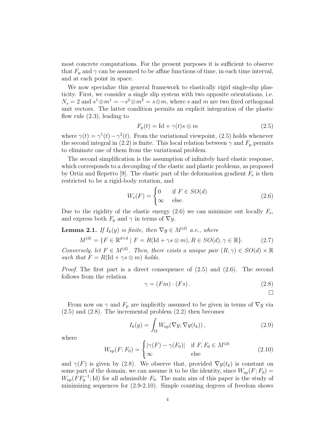most concrete computations. For the present purposes it is sufficient to observe that  $F_{\rm p}$  and  $\gamma$  can be assumed to be affine functions of time, in each time interval, and at each point in space.

We now specialize this general framework to elastically rigid single-slip plasticity. First, we consider a single slip system with two opposite orientations, i.e.  $N_s = 2$  and  $s^1 \otimes m^1 = -s^2 \otimes m^2 = s \otimes m$ , where s and m are two fixed orthogonal unit vectors. The latter condition permits an explicit integration of the plastic flow rule (2.3), leading to

$$
F_{\mathbf{p}}(t) = \mathrm{Id} + \gamma(t)s \otimes m \tag{2.5}
$$

where  $\gamma(t) = \gamma^1(t) - \gamma^2(t)$ . From the variational viewpoint, (2.5) holds whenever the second integral in (2.2) is finite. This local relation between  $\gamma$  and  $F_p$  permits to eliminate one of them from the variational problem.

The second simplification is the assumption of infinitely hard elastic response, which corresponds to a decoupling of the elastic and plastic problems, as proposed by Ortiz and Repetto [9]. The elastic part of the deformation gradient  $F_e$  is then restricted to be a rigid-body rotation, and

$$
W_{\mathbf{e}}(F) = \begin{cases} 0 & \text{if } F \in SO(d) \\ \infty & \text{else.} \end{cases}
$$
 (2.6)

Due to the rigidity of the elastic energy  $(2.6)$  we can minimize out locally  $F_{\rm e}$ , and express both  $F_p$  and  $\gamma$  in terms of  $\nabla y$ .

**Lemma 2.1.** If  $I_k(y)$  is finite, then  $\nabla y \in M^{(d)}$  a.e., where

$$
M^{(d)} = \{ F \in \mathbb{R}^{d \times d} \mid F = R(\text{Id} + \gamma s \otimes m), R \in SO(d), \gamma \in \mathbb{R} \}. \tag{2.7}
$$

Conversely, let  $F \in M^{(d)}$ . Then, there exists a unique pair  $(R, \gamma) \in SO(d) \times \mathbb{R}$ such that  $F = R(\text{Id} + \gamma s \otimes m)$  holds.

*Proof.* The first part is a direct consequence of  $(2.5)$  and  $(2.6)$ . The second follows from the relation

$$
\gamma = (Fm) \cdot (Fs). \tag{2.8}
$$

 $\Box$ 

From now on  $\gamma$  and  $F_p$  are implicitly assumed to be given in terms of  $\nabla y$  via  $(2.5)$  and  $(2.8)$ . The incremental problem  $(2.2)$  then becomes

$$
I_k(y) = \int_{\Omega} W_{\rm ep}(\nabla y; \nabla y(t_k)), \qquad (2.9)
$$

where

$$
W_{\rm ep}(F; F_0) = \begin{cases} |\gamma(F) - \gamma(F_0)| & \text{if } F, F_0 \in M^{(d)}\\ \infty & \text{else} \end{cases}
$$
 (2.10)

and  $\gamma(F)$  is given by (2.8). We observe that, provided  $\nabla y(t_k)$  is constant on some part of the domain, we can assume it to be the identity, since  $W_{ep}(F; F_0) =$  $W_{\rm ep}(FF_0^{-1};\mathrm{Id})$  for all admissible  $F_0$ . The main aim of this paper is the study of minimizing sequences for (2.9-2.10). Simple counting degrees of freedom shows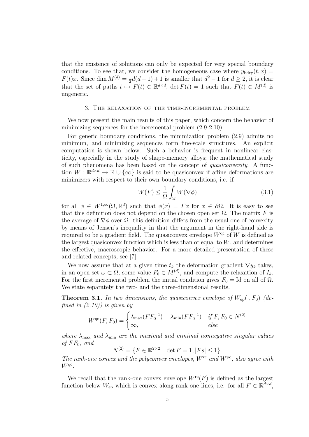that the existence of solutions can only be expected for very special boundary conditions. To see that, we consider the homogeneous case where  $y_{\text{bdry}}(t, x) =$  $F(t)x$ . Since dim  $M^{(d)} = \frac{1}{2}d(d-1) + 1$  is smaller that  $d^2 - 1$  for  $d \geq 2$ , it is clear that the set of paths  $t \mapsto F(t) \in \mathbb{R}^{d \times d}$ , det  $F(t) = 1$  such that  $F(t) \in M^{(d)}$  is ungeneric.

## 3. The relaxation of the time-incremental problem

We now present the main results of this paper, which concern the behavior of minimizing sequences for the incremental problem (2.9-2.10).

For generic boundary conditions, the minimization problem (2.9) admits no minimum, and minimizing sequences form fine-scale structures. An explicit computation is shown below. Such a behavior is frequent in nonlinear elasticity, especially in the study of shape-memory alloys; the mathematical study of such phenomena has been based on the concept of quasiconvexity. A function  $W : \mathbb{R}^{d \times d} \to \mathbb{R} \cup {\infty}$  is said to be quasiconvex if affine deformations are minimizers with respect to their own boundary conditions, i.e. if

$$
W(F) \le \frac{1}{\Omega} \int_{\Omega} W(\nabla \phi) \tag{3.1}
$$

for all  $\phi \in W^{1,\infty}(\Omega,\mathbb{R}^d)$  such that  $\phi(x) = Fx$  for  $x \in \partial\Omega$ . It is easy to see that this definition does not depend on the chosen open set  $\Omega$ . The matrix F is the average of  $\nabla \phi$  over  $\Omega$ : this definition differs from the usual one of convexity by means of Jensen's inequality in that the argument in the right-hand side is required to be a gradient field. The quasiconvex envelope  $W^{qc}$  of W is defined as the largest quasiconvex function which is less than or equal to  $W$ , and determines the effective, macroscopic behavior. For a more detailed presentation of these and related concepts, see [7].

We now assume that at a given time  $t_k$  the deformation gradient  $\nabla y_k$  takes, in an open set  $\omega \subset \Omega$ , some value  $F_0 \in M^{(d)}$ , and compute the relaxation of  $I_k$ . For the first incremental problem the initial condition gives  $F_0 = Id$  on all of  $\Omega$ . We state separately the two- and the three-dimensional results.

**Theorem 3.1.** In two dimensions, the quasiconvex envelope of  $W_{\text{en}}(\cdot, F_0)$  (defined in  $(2.10)$ ) is given by

$$
W^{\text{qc}}(F, F_0) = \begin{cases} \lambda_{\max}(FF_0^{-1}) - \lambda_{\min}(FF_0^{-1}) & \text{if } F, F_0 \in N^{(2)} \\ \infty, & \text{else} \end{cases}
$$

where  $\lambda_{\text{max}}$  and  $\lambda_{\text{min}}$  are the maximal and minimal nonnegative singular values of  $FF_0$ , and

$$
N^{(2)} = \{ F \in \mathbb{R}^{2 \times 2} \mid \det F = 1, |Fs| \le 1 \}.
$$

The rank-one convex and the polyconvex envelopes,  $W^{\text{rc}}$  and  $W^{\text{pc}}$ , also agree with  $W^{\text{qc}}$ .

We recall that the rank-one convex envelope  $W^{\text{rc}}(F)$  is defined as the largest function below  $W_{\text{ep}}$  which is convex along rank-one lines, i.e. for all  $F \in \mathbb{R}^{d \times d}$ ,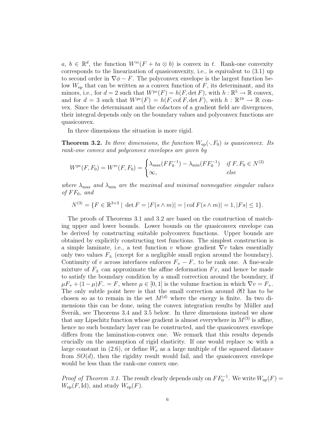a,  $b \in \mathbb{R}^d$ , the function  $W^{rc}(F + ta \otimes b)$  is convex in t. Rank-one convexity corresponds to the linearization of quasiconvexity, i.e., is equivalent to (3.1) up to second order in  $\nabla \phi - F$ . The polyconvex envelope is the largest function below  $W_{ep}$  that can be written as a convex function of  $F$ , its determinant, and its minors, i.e., for  $d = 2$  such that  $W^{\text{pc}}(F) = h(F, \det F)$ , with  $h : \mathbb{R}^5 \to \mathbb{R}$  convex, and for  $d = 3$  such that  $W^{pc}(F) = h(F, \text{cof } F, \det F)$ , with  $h : \mathbb{R}^{19} \to \mathbb{R}$  convex. Since the determinant and the cofactors of a gradient field are divergences, their integral depends only on the boundary values and polyconvex functions are quasiconvex.

In three dimensions the situation is more rigid.

**Theorem 3.2.** In three dimensions, the function  $W_{ep}(\cdot, F_0)$  is quasiconvex. Its rank-one convex and polyconvex envelopes are given by

$$
W^{pc}(F, F_0) = W^{rc}(F, F_0) = \begin{cases} \lambda_{\max}(FF_0^{-1}) - \lambda_{\min}(FF_0^{-1}) & \text{if } F, F_0 \in N^{(3)} \\ \infty, & \text{else} \end{cases}
$$

where  $\lambda_{\text{max}}$  and  $\lambda_{\text{min}}$  are the maximal and minimal nonnegative singular values of  $FF_0$ , and

$$
N^{(3)} = \{ F \in \mathbb{R}^{3 \times 3} \mid \det F = |F(s \wedge m)| = |\cot F(s \wedge m)| = 1, |Fs| \le 1 \}.
$$

The proofs of Theorems 3.1 and 3.2 are based on the construction of matching upper and lower bounds. Lower bounds on the quasiconvex envelope can be derived by constructing suitable polyconvex functions. Upper bounds are obtained by explicitly constructing test functions. The simplest construction is a simple laminate, i.e., a test function v whose gradient  $\nabla v$  takes essentially only two values  $F_{\pm}$  (except for a negligible small region around the boundary). Continuity of v across interfaces enforces  $F_+ - F_-$  to be rank one. A fine-scale mixture of  $F_{\pm}$  can approximate the affine deformation  $Fx$ , and hence be made to satisfy the boundary condition by a small correction around the boundary, if  $\mu F_+ + (1 - \mu)F_- = F$ , where  $\mu \in [0, 1]$  is the volume fraction in which  $\nabla v = F_+$ . The only subtle point here is that the small correction around  $\partial\Omega$  has to be chosen so as to remain in the set  $M^{(d)}$  where the energy is finite. In two dimensions this can be done, using the convex integration results by Müller and  $\text{Sverák}, \text{see Theorems } 3.4 \text{ and } 3.5 \text{ below}.$  In three dimensions instead we show that any Lipschitz function whose gradient is almost everywhere in  $M^{(3)}$  is affine, hence no such boundary layer can be constructed, and the quasiconvex envelope differs from the lamination-convex one. We remark that this results depends crucially on the assumption of rigid elasticity. If one would replace  $\infty$  with a large constant in  $(2.6)$ , or define  $W_e$  as a large multiple of the squared distance from  $SO(d)$ , then the rigidity result would fail, and the quasiconvex envelope would be less than the rank-one convex one.

*Proof of Theorem 3.1.* The result clearly depends only on  $FF_0^{-1}$ . We write  $W_{ep}(F) =$  $W_{\text{ep}}(F,\text{Id})$ , and study  $W_{\text{ep}}(F)$ .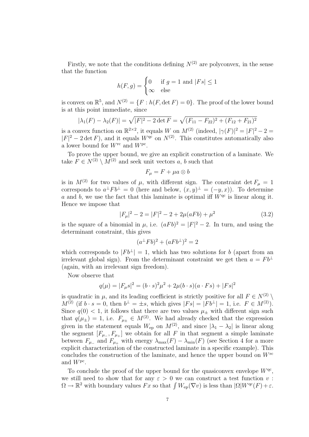Firstly, we note that the conditions defining  $N^{(2)}$  are polyconvex, in the sense that the function

$$
h(F, g) = \begin{cases} 0 & \text{if } g = 1 \text{ and } |Fs| \le 1\\ \infty & \text{else} \end{cases}
$$

is convex on  $\mathbb{R}^5$ , and  $N^{(2)} = \{F : h(F, \det F) = 0\}$ . The proof of the lower bound is at this point immediate, since

$$
|\lambda_1(F) - \lambda_2(F)| = \sqrt{|F|^2 - 2 \det F} = \sqrt{(F_{11} - F_{22})^2 + (F_{12} + F_{21})^2}
$$

is a convex function on  $\mathbb{R}^{2\times 2}$ , it equals W on  $M^{(2)}$  (indeed,  $|\gamma(F)|^2 = |F|^2 - 2 =$  $|F|^2 - 2 \det F$ , and it equals  $W^{qc}$  on  $N^{(2)}$ . This constitutes automatically also a lower bound for  $W^{\text{rc}}$  and  $W^{\text{pc}}$ .

To prove the upper bound, we give an explicit construction of a laminate. We take  $F \in N^{(2)} \setminus M^{(2)}$  and seek unit vectors a, b such that

$$
F_{\mu} = F + \mu a \otimes b
$$

is in  $M^{(2)}$  for two values of  $\mu$ , with different sign. The constraint det  $F_{\mu} = 1$ corresponds to  $a^{\perp}Fb^{\perp} = 0$  (here and below,  $(x, y)^{\perp} = (-y, x)$ ). To determine a and b, we use the fact that this laminate is optimal iff  $W^{qc}$  is linear along it. Hence we impose that

$$
|F_{\mu}|^{2} - 2 = |F|^{2} - 2 + 2\mu(aFb) + \mu^{2}
$$
\n(3.2)

is the square of a binomial in  $\mu$ , i.e.  $(aFb)^2 = |F|^2 - 2$ . In turn, and using the determinant constraint, this gives

$$
(a^{\perp}Fb)^2 + (aFb^{\perp})^2 = 2
$$

which corresponds to  $|F b^{\perp}| = 1$ , which has two solutions for b (apart from an irrelevant global sign). From the determinant constraint we get then  $a = Fb^{\perp}$ (again, with an irrelevant sign freedom).

Now observe that

$$
q(\mu) = |F_{\mu}s|^2 = (b \cdot s)^2 \mu^2 + 2\mu (b \cdot s)(a \cdot Fs) + |Fs|^2
$$

is quadratic in  $\mu$ , and its leading coefficient is strictly positive for all  $F \in N^{(2)} \setminus \mathbb{R}$  $M^{(2)}$  (if  $b \cdot s = 0$ , then  $b^{\perp} = \pm s$ , which gives  $|Fs| = |Fb^{\perp}| = 1$ , i.e.  $F \in M^{(2)}$ ). Since  $q(0)$  < 1, it follows that there are two values  $\mu_{\pm}$  with different sign such that  $q(\mu_{\pm}) = 1$ , i.e.  $F_{\mu_{\pm}} \in M^{(2)}$ . We had already checked that the expression given in the statement equals  $W_{ep}$  on  $M^{(2)}$ , and since  $|\lambda_1 - \lambda_2|$  is linear along the segment  $[F_{\mu_-}, F_{\mu_+}]$  we obtain for all F in that segment a simple laminate between  $F_{\mu_{-}}$  and  $F_{\mu_{+}}$  with energy  $\lambda_{\max}(F) - \lambda_{\min}(F)$  (see Section 4 for a more explicit characterization of the constructed laminate in a specific example). This concludes the construction of the laminate, and hence the upper bound on  $W^{\text{rc}}$ and  $W^{\text{pc}}$ .

To conclude the proof of the upper bound for the quasiconvex envelope  $W^{\text{qc}}$ , we still need to show that for any  $\varepsilon > 0$  we can construct a test function v:  $\Omega \to \mathbb{R}^2$  with boundary values  $Fx$  so that  $\int W_{\text{en}}(\nabla v)$  is less than  $|\Omega|W^{\text{qc}}(F) + \varepsilon$ .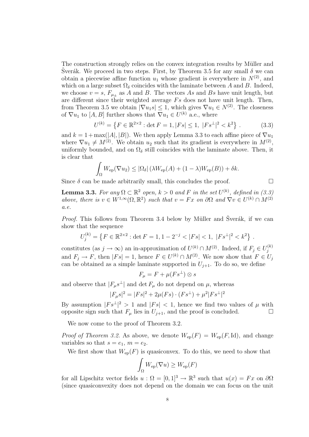The construction strongly relies on the convex integration results by Müller and Sverák. We proceed in two steps. First, by Theorem 3.5 for any small  $\delta$  we can obtain a piecewise affine function  $u_1$  whose gradient is everywhere in  $N^{(2)}$ , and which on a large subset  $\Omega_{\delta}$  coincides with the laminate between A and B. Indeed, we choose  $v = s$ ,  $F_{\mu+}$  as A and B. The vectors As and Bs have unit length, but are different since their weighted average  $Fs$  does not have unit length. Then, from Theorem 3.5 we obtain  $|\nabla u_1 s| \leq 1$ , which gives  $\nabla u_1 \in N^{(2)}$ . The closeness of  $\nabla u_1$  to  $[A, B]$  further shows that  $\nabla u_1 \in U^{(k)}$  a.e., where

$$
U^{(k)} = \left\{ F \in \mathbb{R}^{2 \times 2} : \det F = 1, |Fs| \le 1, |Fs^{\perp}|^2 < k^2 \right\}. \tag{3.3}
$$

and  $k = 1 + \max(|A|, |B|)$ . We then apply Lemma 3.3 to each affine piece of  $\nabla u_1$ where  $\nabla u_1 \neq M^{(2)}$ . We obtain  $u_2$  such that its gradient is everywhere in  $M^{(2)}$ , uniformly bounded, and on  $\Omega_{\delta}$  still coincides with the laminate above. Then, it is clear that

$$
\int_{\Omega} W_{\rm ep}(\nabla u_2) \leq |\Omega_{\delta}| \left( \lambda W_{\rm ep}(A) + (1 - \lambda) W_{\rm ep}(B) \right) + \delta k.
$$

Since  $\delta$  can be made arbitrarily small, this concludes the proof.  $\Box$ 

**Lemma 3.3.** For any  $\Omega \subset \mathbb{R}^2$  open,  $k > 0$  and F in the set  $U^{(k)}$ , defined in (3.3) above, there is  $v \in W^{1,\infty}(\Omega,\mathbb{R}^2)$  such that  $v = Fx$  on  $\partial\Omega$  and  $\nabla v \in U^{(k)} \cap M^{(2)}$ a.e.

*Proof.* This follows from Theorem 3.4 below by Müller and Šverák, if we can show that the sequence

$$
U_j^{(k)} = \left\{ F \in \mathbb{R}^{2 \times 2} : \det F = 1, 1 - 2^{-j} < |Fs| < 1, \ |Fs^{\perp}|^2 < k^2 \right\} \, .
$$

constitutes (as  $j \to \infty$ ) an in-approximation of  $U^{(k)} \cap M^{(2)}$ . Indeed, if  $F_j \in U_j^{(k)}$ and  $F_j \to F$ , then  $|Fs| = 1$ , hence  $F \in U^{(k)} \cap M^{(2)}$ . We now show that  $F \in U_j$ can be obtained as a simple laminate supported in  $U_{i+1}$ . To do so, we define

$$
F_{\mu} = F + \mu(Fs^{\perp}) \otimes s
$$

and observe that  $|F_{\mu}s^{\perp}|$  and det  $F_{\mu}$  do not depend on  $\mu$ , whereas

$$
|F_{\mu}s|^2 = |Fs|^2 + 2\mu(Fs) \cdot (Fs^{\perp}) + \mu^2 |Fs^{\perp}|^2
$$

By assumption  $|Fs^{\perp}|^2 > 1$  and  $|Fs| < 1$ , hence we find two values of  $\mu$  with opposite sign such that  $F_{\mu}$  lies in  $U_{j+1}$ , and the proof is concluded.

We now come to the proof of Theorem 3.2.

*Proof of Theorem 3.2.* As above, we denote  $W_{ep}(F) = W_{ep}(F,\text{Id})$ , and change variables so that  $s = e_1$ ,  $m = e_2$ .

We first show that  $W_{en}(F)$  is quasiconvex. To do this, we need to show that

$$
\int_\Omega W_{\rm ep}(\nabla u)\geq W_{\rm ep}(F)
$$

for all Lipschitz vector fields  $u : \Omega = [0, 1]^3 \to \mathbb{R}^3$  such that  $u(x) = Fx$  on  $\partial\Omega$ (since quasiconvexity does not depend on the domain we can focus on the unit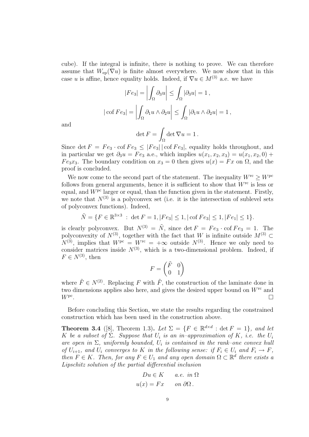cube). If the integral is infinite, there is nothing to prove. We can therefore assume that  $W_{ep}(\nabla u)$  is finite almost everywhere. We now show that in this case u is affine, hence equality holds. Indeed, if  $\nabla u \in M^{(3)}$  a.e. we have

$$
|Fe_3| = \left| \int_{\Omega} \partial_3 u \right| \le \int_{\Omega} |\partial_3 u| = 1,
$$
  

$$
|\operatorname{cof} Fe_3| = \left| \int_{\Omega} \partial_1 u \wedge \partial_2 u \right| \le \int_{\Omega} |\partial_1 u \wedge \partial_2 u| = 1,
$$

and

$$
\det F = \int_\Omega \det \nabla u = 1 \, .
$$

Since det  $F = Fe_3 \cdot \text{cof } Fe_3 \leq |Fe_3| |\text{cof } Fe_3|$ , equality holds throughout, and in particular we get  $\partial_3 u = F e_3$  a.e., which implies  $u(x_1, x_2, x_3) = u(x_1, x_2, 0) +$  $Fe<sub>3</sub>x<sub>3</sub>$ . The boundary condition on  $x<sub>3</sub> = 0$  then gives  $u(x) = Fx$  on  $\Omega$ , and the proof is concluded.

We now come to the second part of the statement. The inequality  $W^{\text{rc}} \geq W^{\text{pc}}$ follows from general arguments, hence it is sufficient to show that  $W^{\text{rc}}$  is less or equal, and  $W^{pc}$  larger or equal, than the function given in the statement. Firstly, we note that  $N^{(3)}$  is a polyconvex set (i.e. it is the intersection of sublevel sets of polyconvex functions). Indeed,

$$
\tilde{N} = \{ F \in \mathbb{R}^{3 \times 3} \; : \; \det F = 1, |Fe_3| \le 1, |\cot Fe_3| \le 1, |Fe_1| \le 1 \}.
$$

is clearly polyconvex. But  $N^{(3)} = \tilde{N}$ , since det  $F = Fe_3 \cdot \text{cof } Fe_3 = 1$ . The polyconvexity of  $N^{(3)}$ , together with the fact that W is infinite outside  $M^{(3)} \subset$  $N^{(3)}$ , implies that  $W^{pc} = W^{rc} = +\infty$  outside  $N^{(3)}$ . Hence we only need to consider matrices inside  $N^{(3)}$ , which is a two-dimensional problem. Indeed, if  $F \in N^{(3)}$ , then

$$
F = \begin{pmatrix} \tilde{F} & 0 \\ 0 & 1 \end{pmatrix}
$$

where  $\tilde{F} \in N^{(2)}$ . Replacing F with  $\tilde{F}$ , the construction of the laminate done in two dimensions applies also here, and gives the desired upper bound on  $W^{\text{rc}}$  and  $W^{pc}$ .

Before concluding this Section, we state the results regarding the constrained construction which has been used in the construction above.

**Theorem 3.4** ([8], Theorem 1.3). Let  $\Sigma = \{F \in \mathbb{R}^{d \times d} : \det F = 1\}$ , and let K be a subset of  $\Sigma$ . Suppose that  $U_i$  is an in-approximation of K, i.e. the  $U_i$ are open in  $\Sigma$ , uniformly bounded,  $U_i$  is contained in the rank–one convex hull of  $U_{i+1}$ , and  $U_i$  converges to K in the following sense: if  $F_i \in U_i$  and  $F_i \to F$ , then  $F \in K$ . Then, for any  $F \in U_1$  and any open domain  $\Omega \subset \mathbb{R}^d$  there exists a Lipschitz solution of the partial differential inclusion

$$
Du \in K \quad a.e. \in \Omega
$$
  

$$
u(x) = Fx \quad on \ \partial\Omega.
$$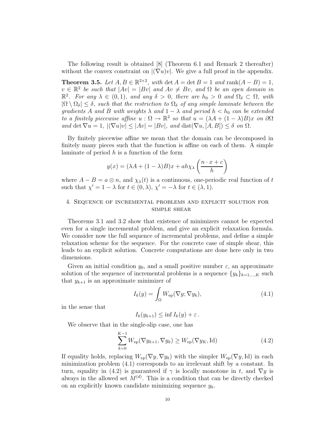The following result is obtained [8] (Theorem 6.1 and Remark 2 thereafter) without the convex constraint on  $|(\nabla u)v|$ . We give a full proof in the appendix.

**Theorem 3.5.** Let  $A, B \in \mathbb{R}^{2 \times 2}$ , with det  $A = \det B = 1$  and rank $(A - B) = 1$ ,  $v \in \mathbb{R}^2$  be such that  $|Av| = |Bv|$  and  $Av \neq Bv$ , and  $\Omega$  be an open domain in  $\mathbb{R}^2$ . For any  $\lambda \in (0,1)$ , and any  $\delta > 0$ , there are  $h_0 > 0$  and  $\Omega_{\delta} \subset \Omega$ , with  $|\Omega \setminus \Omega_{\delta}| \leq \delta$ , such that the restriction to  $\Omega_{\delta}$  of any simple laminate between the qradients A and B with weights  $\lambda$  and  $1 - \lambda$  and period  $h < h_0$  can be extended to a finitely piecewise affine  $u : \Omega \to \mathbb{R}^2$  so that  $u = (\lambda A + (1 - \lambda)B)x$  on  $\partial\Omega$ and det  $\nabla u = 1$ ,  $|(\nabla u)v| \le |Av| = |Bv|$ , and  $dist(\nabla u, [A, B]) \le \delta$  on  $\Omega$ .

By finitely piecewise affine we mean that the domain can be decomposed in finitely many pieces such that the function is affine on each of them. A simple laminate of period  $h$  is a function of the form

$$
y(x) = (\lambda A + (1 - \lambda)B)x + ah\chi_{\lambda} \left(\frac{n \cdot x + c}{h}\right)
$$

where  $A - B = a \otimes n$ , and  $\chi_{\lambda}(t)$  is a continuous, one-periodic real function of t such that  $\chi' = 1 - \lambda$  for  $t \in (0, \lambda), \chi' = -\lambda$  for  $t \in (\lambda, 1)$ .

## 4. Sequence of incremental problems and explicit solution for simple shear

Theorems 3.1 and 3.2 show that existence of minimizers cannot be expected even for a single incremental problem, and give an explicit relaxation formula. We consider now the full sequence of incremental problems, and define a simple relaxation scheme for the sequence. For the concrete case of simple shear, this leads to an explicit solution. Concrete computations are done here only in two dimensions.

Given an initial condition  $y_0$ , and a small positive number  $\varepsilon$ , an approximate solution of the sequence of incremental problems is a sequence  $\{y_k\}_{k=1,\dots,K}$  such that  $y_{k+1}$  is an approximate minimizer of

$$
I_k(y) = \int_{\Omega} W_{\rm ep}(\nabla y; \nabla y_k), \qquad (4.1)
$$

in the sense that

$$
I_k(y_{k+1}) \le \inf I_k(y) + \varepsilon.
$$

We observe that in the single-slip case, one has

$$
\sum_{k=0}^{K-1} W_{\rm ep}(\nabla y_{k+1}, \nabla y_k) \ge W_{\rm ep}(\nabla y_K, \text{Id})
$$
\n(4.2)

If equality holds, replacing  $W_{ep}(\nabla y, \nabla y_k)$  with the simpler  $W_{ep}(\nabla y, Id)$  in each minimization problem (4.1) corresponds to an irrelevant shift by a constant. In turn, equality in (4.2) is guaranteed if  $\gamma$  is locally monotone in t, and  $\nabla y$  is always in the allowed set  $\tilde{M}^{(d)}$ . This is a condition that can be directly checked on an explicitly known candidate minimizing sequence  $y_k$ .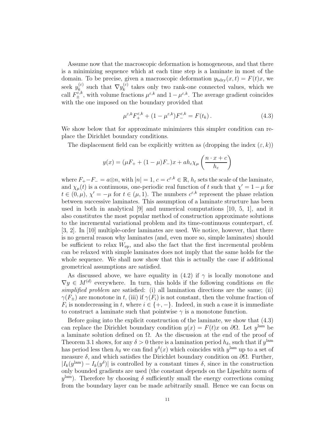Assume now that the macroscopic deformation is homogeneous, and that there is a minimizing sequence which at each time step is a laminate in most of the domain. To be precise, given a macroscopic deformation  $y_{\text{bdry}}(x, t) = F(t)x$ , we seek  $y_k^{(\varepsilon)}$  such that  $\nabla y_k^{(\varepsilon)}$  takes only two rank-one connected values, which we call  $F_{\pm}^{\varepsilon,k}$ , with volume fractions  $\mu^{\varepsilon,k}$  and  $1-\mu^{\varepsilon,k}$ . The average gradient coincides with the one imposed on the boundary provided that

$$
\mu^{\varepsilon,k} F^{\varepsilon,k}_+ + (1 - \mu^{\varepsilon,k}) F^{\varepsilon,k}_- = F(t_k). \tag{4.3}
$$

We show below that for approximate minimizers this simpler condition can replace the Dirichlet boundary conditions.

The displacement field can be explicitly written as (dropping the index  $(\varepsilon, k)$ )

$$
y(x) = (\mu F_+ + (1 - \mu)F_-)x + ah_\varepsilon \chi_\mu \left(\frac{n \cdot x + c}{h_\varepsilon}\right)
$$

where  $F_+ - F_- = a \otimes n$ , with  $|n| = 1$ ,  $c = c^{\varepsilon, k} \in \mathbb{R}$ ,  $h_{\varepsilon}$  sets the scale of the laminate, and  $\chi_{\mu}(t)$  is a continuous, one-periodic real function of t such that  $\chi' = 1 - \mu$  for  $t \in (0, \mu), \chi' = -\mu$  for  $t \in (\mu, 1)$ . The numbers  $c^{\varepsilon, k}$  represent the phase relation between successive laminates. This assumption of a laminate structure has been used in both in analytical [9] and numerical computations [10, 5, 1], and it also constitutes the most popular method of construction approximate solutions to the incremental variational problem and its time-continuous counterpart, cf. [3, 2]. In [10] multiple-order laminates are used. We notice, however, that there is no general reason why laminates (and, even more so, simple laminates) should be sufficient to relax  $W_{ep}$ , and also the fact that the first incremental problem can be relaxed with simple laminates does not imply that the same holds for the whole sequence. We shall now show that this is actually the case if additional geometrical assumptions are satisfied.

As discussed above, we have equality in (4.2) if  $\gamma$  is locally monotone and  $\nabla y \in M^{(d)}$  everywhere. In turn, this holds if the following conditions on the simplified problem are satisfied: (i) all lamination directions are the same; (ii)  $\gamma(F_{\pm})$  are monotone in t, (iii) if  $\gamma(F_i)$  is not constant, then the volume fraction of  $F_i$  is nondecreasing in t, where  $i \in \{+, -\}$ . Indeed, in such a case it is immediate to construct a laminate such that pointwise  $\gamma$  is a monotone function.

Before going into the explicit construction of the laminate, we show that (4.3) can replace the Dirichlet boundary condition  $y(x) = F(t)x$  on  $\partial\Omega$ . Let  $y^{\text{lam}}$  be a laminate solution defined on Ω. As the discussion at the end of the proof of Theorem 3.1 shows, for any  $\delta > 0$  there is a lamination period  $h_{\delta}$ , such that if  $y^{\text{lam}}$ has period less then  $h_{\delta}$  we can find  $y^{\delta}(x)$  which coincides with  $y^{\text{lam}}$  up to a set of measure  $\delta$ , and which satisfies the Dirichlet boundary condition on  $\partial\Omega$ . Further,  $|I_k(y^{\text{lam}}) - I_k(y^{\delta})|$  is controlled by a constant times  $\delta$ , since in the construction only bounded gradients are used (the constant depends on the Lipschitz norm of  $y^{\text{lam}}$ ). Therefore by choosing  $\delta$  sufficiently small the energy corrections coming from the boundary layer can be made arbitrarily small. Hence we can focus on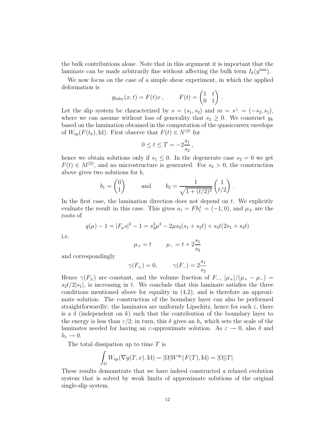the bulk contributions alone. Note that in this argument it is important that the laminate can be made arbitrarily fine without affecting the bulk term  $I_k(y^{\text{lam}})$ .

We now focus on the case of a simple shear experiment, in which the applied deformation is

$$
y_{\text{bdry}}(x,t) = F(t)x
$$
,  $F(t) = \begin{pmatrix} 1 & t \\ 0 & 1 \end{pmatrix}$ .

Let the slip system be characterized by  $s = (s_1, s_2)$  and  $m = s^{\perp} = (-s_2, s_1)$ , where we can assume without loss of generality that  $s_2 \geq 0$ . We construct  $y_k$ based on the lamination obtained in the computation of the quasiconvex envelope of  $W_{ep}(F(t_k),\text{Id})$ . First observe that  $F(t) \in N^{(2)}$  for

$$
0 \le t \le T = -2\frac{s_1}{s_2},
$$

hence we obtain solutions only if  $s_1 \leq 0$ . In the degenerate case  $s_2 = 0$  we get  $F(t) \in M^{(2)}$ , and no microstructure is generated. For  $s_2 > 0$ , the construction above gives two solutions for  $b$ ,

$$
b_1 = \begin{pmatrix} 0 \\ 1 \end{pmatrix} \quad \text{and} \quad b_2 = \frac{1}{\sqrt{1 + (t/2)^2}} \begin{pmatrix} 1 \\ t/2 \end{pmatrix}.
$$

In the first case, the lamination direction does not depend on  $t$ . We explicitly evaluate the result in this case. This gives  $a_1 = Fb_1^{\perp} = (-1,0)$ , and  $\mu_{\pm}$  are the roots of

$$
q(\mu) - 1 = |F_{\mu}s|^2 - 1 = s_2^2 \mu^2 - 2\mu s_2(s_1 + s_2 t) + s_2 t(2s_1 + s_2 t)
$$

i.e.

$$
\mu_+=t\qquad \mu_-=t+2\frac{s_1}{s_2}
$$

and correspondingly

$$
\gamma(F_+) = 0,
$$
  $\gamma(F_-) = 2\frac{s_1}{s_2}$ 

Hence  $\gamma(F_{\pm})$  are constant, and the volume fraction of  $F_{-}$ ,  $|\mu_{+}|/(\mu_{+} - \mu_{-})$  $s_2t/2|s_1|$ , is increasing in t. We conclude that this laminate satisfies the three conditions mentioned above for equality in (4.2), and is therefore an approximate solution. The construction of the boundary layer can also be performed straightforwardly: the laminates are uniformly Lipschitz, hence for each  $\varepsilon$ , there is a  $\delta$  (independent on k) such that the contribution of the boundary layer to the energy is less than  $\varepsilon/2$ ; in turn, this  $\delta$  gives an  $h_{\varepsilon}$  which sets the scale of the laminates needed for having an  $\varepsilon$ -approximate solution. As  $\varepsilon \to 0$ , also  $\delta$  and  $h_{\varepsilon} \to 0.$ 

The total dissipation up to time  $T$  is

$$
\int_{\Omega} W_{\rm ep}(\nabla y(T, x), {\rm Id}) = |\Omega| W^{\rm qc}(F(T), {\rm Id}) = |\Omega||T|.
$$

These results demonstrate that we have indeed constructed a relaxed evolution system that is solved by weak limits of approximate solutions of the original single-slip system.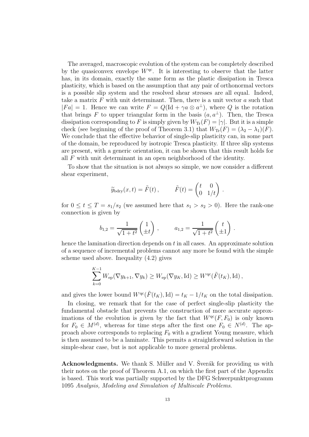The averaged, macroscopic evolution of the system can be completely described by the quasiconvex envelope  $W^{\text{qc}}$ . It is interesting to observe that the latter has, in its domain, exactly the same form as the plastic dissipation in Tresca plasticity, which is based on the assumption that any pair of orthonormal vectors is a possible slip system and the resolved shear stresses are all equal. Indeed, take a matrix  $F$  with unit determinant. Then, there is a unit vector  $a$  such that  $|Fa| = 1$ . Hence we can write  $F = Q(\text{Id} + \gamma a \otimes a^{\perp})$ , where Q is the rotation that brings F to upper triangular form in the basis  $(a, a^{\perp})$ . Then, the Tresca dissipation corresponding to F is simply given by  $W_{\text{Tr}}(F) = |\gamma|$ . But it is a simple check (see beginning of the proof of Theorem 3.1) that  $W_{\text{Tr}}(F)=(\lambda_2 - \lambda_1)(F)$ . We conclude that the effective behavior of single-slip plasticity can, in some part of the domain, be reproduced by isotropic Tresca plasticity. If three slip systems are present, with a generic orientation, it can be shown that this result holds for all F with unit determinant in an open neighborhood of the identity.

To show that the situation is not always so simple, we now consider a different shear experiment,

$$
\widetilde{y}_{\text{bdry}}(x,t) = \widetilde{F}(t), \qquad \widetilde{F}(t) = \begin{pmatrix} t & 0 \\ 0 & 1/t \end{pmatrix}.
$$

for  $0 \le t \le T = s_1/s_2$  (we assumed here that  $s_1 > s_2 > 0$ ). Here the rank-one connection is given by

$$
b_{1,2} = \frac{1}{\sqrt{1+t^2}} \begin{pmatrix} 1 \\ \pm t \end{pmatrix}, \qquad a_{1,2} = \frac{1}{\sqrt{1+t^2}} \begin{pmatrix} t \\ \pm 1 \end{pmatrix}.
$$

hence the lamination direction depends on  $t$  in all cases. An approximate solution of a sequence of incremental problems cannot any more be found with the simple scheme used above. Inequality (4.2) gives

$$
\sum_{k=0}^{K-1} W_{\rm ep}(\nabla y_{k+1}, \nabla y_k) \ge W_{\rm ep}(\nabla y_K, \mathrm{Id}) \ge W^{\rm qc}(\tilde{F}(t_K), \mathrm{Id}),
$$

and gives the lower bound  $W^{qc}(\tilde{F}(t_K),Id) = t_K - 1/t_K$  on the total dissipation.

In closing, we remark that for the case of perfect single-slip plasticity the fundamental obstacle that prevents the construction of more accurate approximations of the evolution is given by the fact that  $W^{qc}(F, F_0)$  is only known for  $F_0 \in M^{(d)}$ , whereas for time steps after the first one  $F_0 \in N^{(d)}$ . The approach above corresponds to replacing  $F_0$  with a gradient Young measure, which is then assumed to be a laminate. This permits a straightforward solution in the simple-shear case, but is not applicable to more general problems.

**Acknowledgments.** We thank S. Müller and V. Šverák for providing us with their notes on the proof of Theorem A.1, on which the first part of the Appendix is based. This work was partially supported by the DFG Schwerpunktprogramm 1095 Analysis, Modeling and Simulation of Multiscale Problems.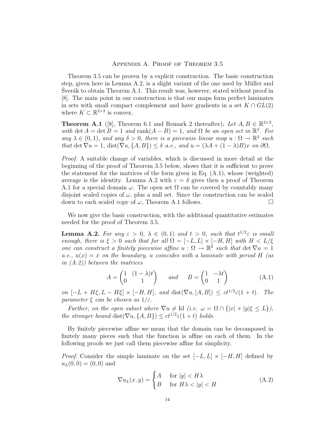Theorem 3.5 can be proven by a explicit construction. The basic construction step, given here in Lemma A.2, is a slight variant of the one used by Müller and Sverák to obtain Theorem A.1. This result was, however, stated without proof in [8]. The main point in our construction is that our maps form perfect laminates in sets with small compact complement and have gradients in a set  $K \cap GL(2)$ where  $K \subset \mathbb{R}^{2 \times 2}$  is convex.

**Theorem A.1** ([8], Theorem 6.1 and Remark 2 thereafter). Let  $A, B \in \mathbb{R}^{2 \times 2}$ , with det  $A = \det B = 1$  and rank $(A - B) = 1$ , and  $\Omega$  be an open set in  $\mathbb{R}^2$ . For any  $\lambda \in (0,1)$ , and any  $\delta > 0$ , there is a piecewise linear map  $u : \Omega \to \mathbb{R}^2$  such that det  $\nabla u = 1$ , dist $(\nabla u, \{A, B\}) \leq \delta$  a.e., and  $u = (\lambda A + (1 - \lambda)B)x$  on  $\partial \Omega$ .

Proof. A suitable change of variables, which is discussed in more detail at the beginning of the proof of Theorem 3.5 below, shows that it is sufficient to prove the statement for the matrices of the form given in Eq.  $(A.1)$ , whose (weighted) average is the identity. Lemma A.2 with  $\varepsilon = \delta$  gives then a proof of Theorem A.1 for a special domain  $\omega$ . The open set  $\Omega$  can be covered by countably many disjoint scaled copies of  $\omega$ , plus a null set. Since the construction can be scaled down to each scaled copy of  $\omega$ , Theorem A.1 follows.

We now give the basic construction, with the additional quantitative estimates needed for the proof of Theorem 3.5.

**Lemma A.2.** For any  $\varepsilon > 0$ ,  $\lambda \in (0,1)$  and  $t > 0$ , such that  $t^{1/2}\varepsilon$  is small enough, there is  $\xi > 0$  such that for all  $\Omega = [-L, L] \times [-H, H]$  with  $H < L/\xi$ one can construct a finitely piecewise affine  $u : \Omega \to \mathbb{R}^2$  such that  $\det \nabla u = 1$ a.e.,  $u(x) = x$  on the boundary, u coincides with a laminate with period H (as in (A.2)) between the matrices

$$
A = \begin{pmatrix} 1 & (1 - \lambda)t \\ 0 & 1 \end{pmatrix} \quad \text{and} \quad B = \begin{pmatrix} 1 & -\lambda t \\ 0 & 1 \end{pmatrix} \tag{A.1}
$$

on  $[-L + H\xi, L - H\xi] \times [-H, H]$ , and  $dist(\nabla u, [A, B]) \leq ct^{1/2}\varepsilon(1 + t)$ . The parameter  $\xi$  can be chosen as  $1/\varepsilon$ .

Further, on the open subset where  $\nabla u \neq \text{Id}$  (i.e.  $\omega = \Omega \cap \{|x| + |y|\xi \leq L\},\$ the stronger bound dist( $\nabla u$ , {A, B})  $\leq ct^{1/2} \varepsilon(1+t)$  holds.

By finitely piecewise affine we mean that the domain can be decomposed in finitely many pieces such that the function is affine on each of them. In the following proofs we just call them piecewise affine for simplicity.

*Proof.* Consider the simple laminate on the set  $[-L, L] \times [-H, H]$  defined by  $u_L(0, 0) = (0, 0)$  and

$$
\nabla u_L(x, y) = \begin{cases} A & \text{for } |y| < H\lambda \\ B & \text{for } H\lambda < |y| < H \end{cases}
$$
 (A.2)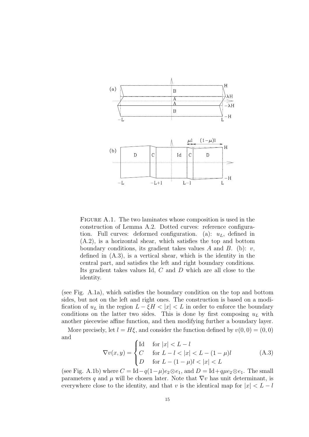

FIGURE A.1. The two laminates whose composition is used in the construction of Lemma A.2. Dotted curves: reference configuration. Full curves: deformed configuration. (a):  $u<sub>L</sub>$ , defined in (A.2), is a horizontal shear, which satisfies the top and bottom boundary conditions, its gradient takes values A and B. (b):  $v$ , defined in (A.3), is a vertical shear, which is the identity in the central part, and satisfies the left and right boundary conditions. Its gradient takes values Id, C and D which are all close to the identity.

(see Fig. A.1a), which satisfies the boundary condition on the top and bottom sides, but not on the left and right ones. The construction is based on a modification of  $u<sub>L</sub>$  in the region  $L - \xi H < |x| < L$  in order to enforce the boundary conditions on the latter two sides. This is done by first composing  $u<sub>L</sub>$  with another piecewise affine function, and then modifying further a boundary layer.

More precisely, let  $l = H\xi$ , and consider the function defined by  $v(0,0) = (0,0)$ and

$$
\nabla v(x,y) = \begin{cases}\n\text{Id} & \text{for } |x| < L - l \\
C & \text{for } L - l < |x| < L - (1 - \mu)l \\
D & \text{for } L - (1 - \mu)l < |x| < L\n\end{cases} \tag{A.3}
$$

(see Fig. A.1b) where  $C = \text{Id} - q(1-\mu)e_2 \otimes e_1$ , and  $D = \text{Id} + q\mu e_2 \otimes e_1$ . The small parameters q and  $\mu$  will be chosen later. Note that  $\nabla v$  has unit determinant, is everywhere close to the identity, and that v is the identical map for  $|x| < L - l$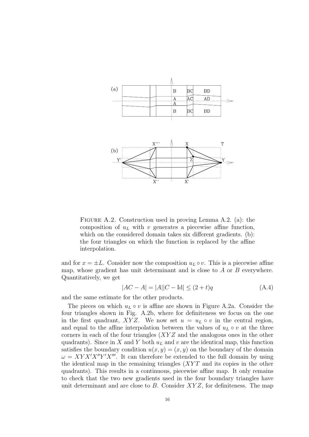

Figure A.2. Construction used in proving Lemma A.2. (a): the composition of  $u<sub>L</sub>$  with v generates a piecewise affine function, which on the considered domain takes six different gradients. (b): the four triangles on which the function is replaced by the affine interpolation.

and for  $x = \pm L$ . Consider now the composition  $u<sub>L</sub> \circ v$ . This is a piecewise affine map, whose gradient has unit determinant and is close to  $A$  or  $B$  everywhere. Quantitatively, we get

$$
|AC - A| = |A||C - Id| \le (2 + t)q
$$
\n(A.4)

and the same estimate for the other products.

The pieces on which  $u_L \circ v$  is affine are shown in Figure A.2a. Consider the four triangles shown in Fig. A.2b, where for definiteness we focus on the one in the first quadrant, XYZ. We now set  $u = u<sub>L</sub> \circ v$  in the central region, and equal to the affine interpolation between the values of  $u<sub>L</sub> \circ v$  at the three corners in each of the four triangles (XY Z and the analogous ones in the other quadrants). Since in X and Y both  $u<sub>L</sub>$  and v are the identical map, this function satisfies the boundary condition  $u(x, y)=(x, y)$  on the boundary of the domain  $\omega = XYX'X''Y'X'''$ . It can therefore be extended to the full domain by using the identical map in the remaining triangles  $(XYT$  and its copies in the other quadrants). This results in a continuous, piecewise affine map. It only remains to check that the two new gradients used in the four boundary triangles have unit determinant and are close to  $B$ . Consider  $XYZ$ , for definiteness. The map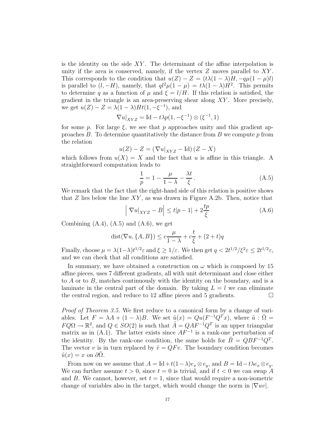is the identity on the side  $XY$ . The determinant of the affine interpolation is unity if the area is conserved, namely, if the vertex  $Z$  moves parallel to  $XY$ . This corresponds to the condition that  $u(Z) - Z = (t\lambda(1 - \lambda)H, -q\mu(1 - \mu)l)$ is parallel to  $(l, -H)$ , namely, that  $q l^2 \mu (1 - \mu) = t \lambda (1 - \lambda) H^2$ . This permits to determine q as a function of  $\mu$  and  $\xi = l/H$ . If this relation is satisfied, the gradient in the triangle is an area-preserving shear along XY . More precisely, we get  $u(Z) - Z = \lambda(1 - \lambda)Ht(1, -\xi^{-1}),$  and

$$
\nabla u|_{XYZ} = \text{Id} - t\lambda p(1, -\xi^{-1}) \otimes (\xi^{-1}, 1)
$$

for some p. For large  $\xi$ , we see that p approaches unity and this gradient approaches  $B$ . To determine quantitatively the distance from  $B$  we compute p from the relation

$$
u(Z) - Z = (\nabla u|_{XYZ} - \text{Id}) (Z - X)
$$

which follows from  $u(X) = X$  and the fact that u is affine in this triangle. A straightforward computation leads to

$$
\frac{1}{p} = 1 - \frac{\mu}{1 - \lambda} - \frac{\lambda t}{\xi}.
$$
\n(A.5)

We remark that the fact that the right-hand side of this relation is positive shows that  $Z$  lies below the line  $XY$ , as was drawn in Figure A.2b. Then, notice that

$$
\left| \nabla u \right|_{XYZ} - B \right| \le t|p - 1| + 2\frac{tp}{\xi}
$$
 (A.6)

Combining  $(A.4)$ ,  $(A.5)$  and  $(A.6)$ , we get

$$
dist(\nabla u, \{A, B\}) \le c \frac{\mu}{1 - \lambda} + c \frac{t}{\xi} + (2 + t)q
$$

Finally, choose  $\mu = \lambda(1-\lambda)t^{1/2}\varepsilon$  and  $\xi \ge 1/\varepsilon$ . We then get  $q < 2t^{1/2}/\xi^2\varepsilon \le 2t^{1/2}\varepsilon$ , and we can check that all conditions are satisfied.

In summary, we have obtained a construction on  $\omega$  which is composed by 15 affine pieces, uses 7 different gradients, all with unit determinant and close either to A or to B, matches continuously with the identity on the boundary, and is a laminate in the central part of the domain. By taking  $L = l$  we can eliminate the central region, and reduce to 12 affine pieces and 5 gradients.  $\Box$ 

Proof of Theorem 3.5. We first reduce to a canonical form by a change of variables. Let  $F = \lambda A + (1 - \lambda)B$ . We set  $\tilde{u}(x) = Qu(F^{-1}Q^{T}x)$ , where  $\tilde{u} : \tilde{\Omega} =$  $FQ\Omega \to \mathbb{R}^2$ , and  $Q \in SO(2)$  is such that  $\tilde{A} = QAF^{-1}Q^T$  is an upper triangular matrix as in  $(A.1)$ . The latter exists since  $AF^{-1}$  is a rank-one perturbation of the identity. By the rank-one condition, the same holds for  $\tilde{B} = QBF^{-1}Q^{T}$ . The vector v is in turn replaced by  $\tilde{v} = QFv$ . The boundary condition becomes  $\tilde{u}(x) = x$  on  $\partial \Omega$ .

From now on we assume that  $A = \text{Id} + t(1-\lambda)e_x \otimes e_y$ , and  $B = \text{Id} - t\lambda e_x \otimes e_y$ . We can further assume  $t > 0$ , since  $t = 0$  is trivial, and if  $t < 0$  we can swap A and B. We cannot, however, set  $t = 1$ , since that would require a non-isometric change of variables also in the target, which would change the norm in  $|\nabla uv|$ .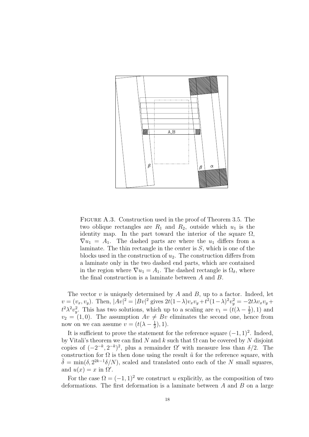

FIGURE A.3. Construction used in the proof of Theorem 3.5. The two oblique rectangles are  $R_1$  and  $R_2$ , outside which  $u_1$  is the identity map. In the part toward the interior of the square  $\Omega$ ,  $\nabla u_1 = A_1$ . The dashed parts are where the  $u_1$  differs from a laminate. The thin rectangle in the center is  $S$ , which is one of the blocks used in the construction of  $u_2$ . The construction differs from a laminate only in the two dashed end parts, which are contained in the region where  $\nabla u_1 = A_1$ . The dashed rectangle is  $\Omega_{\delta}$ , where the final construction is a laminate between A and B.

The vector  $v$  is uniquely determined by  $A$  and  $B$ , up to a factor. Indeed, let  $v = (v_x, v_y)$ . Then,  $|Av|^2 = |Bv|^2$  gives  $2t(1-\lambda)v_xv_y + t^2(1-\lambda)^2v_y^2 = -2t\lambda v_xv_y + t^2$  $t^2\lambda^2v_y^2$ . This has two solutions, which up to a scaling are  $v_1 = (t(\lambda - \frac{1}{2}), 1)$  and  $v_2 = (1,0)$ . The assumption  $Av \neq Bv$  eliminates the second one, hence from now on we can assume  $v = (t(\lambda - \frac{1}{2}), 1)$ .

It is sufficient to prove the statement for the reference square  $(-1, 1)^2$ . Indeed, by Vitali's theorem we can find N and k such that  $\Omega$  can be covered by N disjoint copies of  $(-2^{-k}, 2^{-k})^2$ , plus a remainder  $\Omega'$  with measure less than  $\delta/2$ . The construction for  $\Omega$  is then done using the result  $\tilde{u}$  for the reference square, with  $\tilde{\delta} = \min(\delta, 2^{2k-1}\delta/N)$ , scaled and translated onto each of the N small squares, and  $u(x) = x$  in  $\Omega'$ .

For the case  $\Omega = (-1, 1)^2$  we construct u explicitly, as the composition of two deformations. The first deformation is a laminate between  $A$  and  $B$  on a large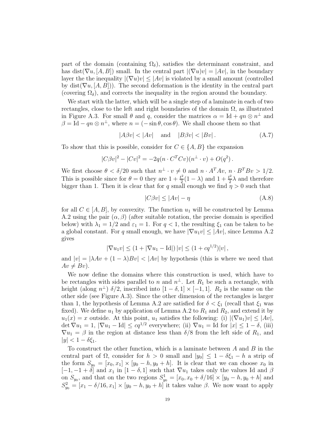part of the domain (containing  $\Omega_{\delta}$ ), satisfies the determinant constraint, and has dist( $\nabla u$ , [A, B]) small. In the central part  $|(\nabla u)v| = |Av|$ , in the boundary layer the the inequality  $|(\nabla u)v| \leq |Av|$  is violated by a small amount (controlled by dist( $\nabla u, [A, B]$ ). The second deformation is the identity in the central part (covering  $\Omega_{\delta}$ ), and corrects the inequality in the region around the boundary.

We start with the latter, which will be a single step of a laminate in each of two rectangles, close to the left and right boundaries of the domain  $\Omega$ , as illustrated in Figure A.3. For small  $\theta$  and q, consider the matrices  $\alpha = \text{Id} + qn \otimes n^{\perp}$  and  $\beta = \text{Id} - qn \otimes n^{\perp}$ , where  $n = (-\sin \theta, \cos \theta)$ . We shall choose them so that

$$
|A\beta v| < |Av| \quad \text{and} \quad |B\beta v| < |Bv| \,. \tag{A.7}
$$

To show that this is possible, consider for  $C \in \{A, B\}$  the expansion

$$
|C\beta v|^2 - |Cv|^2 = -2q(n \cdot C^T C v)(n^{\perp} \cdot v) + O(q^2).
$$

We first choose  $\theta < \delta/20$  such that  $n^{\perp} \cdot v \neq 0$  and  $n \cdot A^{T}Av$ ,  $n \cdot B^{T}Bv > 1/2$ . This is possible since for  $\theta = 0$  they are  $1 + \frac{t^2}{2}(1 - \lambda)$  and  $1 + \frac{t^2}{2}\lambda$  and therefore bigger than 1. Then it is clear that for q small enough we find  $\eta > 0$  such that

$$
|C\beta v| \le |Av| - \eta \tag{A.8}
$$

for all  $C \in [A, B]$ , by convexity. The function  $u_1$  will be constructed by Lemma A.2 using the pair  $(\alpha, \beta)$  (after suitable rotation, the precise domain is specified below) with  $\lambda_1 = 1/2$  and  $\varepsilon_1 = 1$ . For  $q < 1$ , the resulting  $\xi_1$  can be taken to be a global constant. For q small enough, we have  $|\nabla u_1v| \leq |Av|$ , since Lemma A.2 gives

$$
|\nabla u_1 v| \le (1 + |\nabla u_1 - \mathrm{Id}|) |v| \le (1 + c q^{1/2}) |v|,
$$

and  $|v| = |\lambda Av + (1 - \lambda)Bv| < |Av|$  by hypothesis (this is where we need that  $Av \neq Bv$ ).

We now define the domains where this construction is used, which have to be rectangles with sides parallel to n and  $n^{\perp}$ . Let  $R_1$  be such a rectangle, with height (along  $n^{\perp}$ )  $\delta/2$ , inscribed into  $[1 - \delta, 1] \times [-1, 1]$ .  $R_2$  is the same on the other side (see Figure A.3). Since the other dimension of the rectangles is larger than 1, the hypothesis of Lemma A.2 are satisfied for  $\delta < \xi_1$  (recall that  $\xi_1$  was fixed). We define  $u_1$  by application of Lemma A.2 to  $R_1$  and  $R_2$ , and extend it by  $u_1(x) = x$  outside. At this point,  $u_1$  satisfies the following: (i)  $|(\nabla u_1)v| \leq |Av|$ , det  $\nabla u_1 = 1$ ,  $|\nabla u_1 - \text{Id}| \leq cq^{1/2}$  everywhere; (ii)  $\nabla u_1 = \text{Id}$  for  $|x| \leq 1 - \delta$ , (iii)  $\nabla u_1 = \beta$  in the region at distance less than  $\delta/8$  from the left side of  $R_1$ , and  $|y| < 1 - \delta \xi_1$ .

To construct the other function, which is a laminate between  $A$  and  $B$  in the central part of  $\Omega$ , consider for  $h > 0$  small and  $|y_0| \leq 1 - \delta \xi_1 - h$  a strip of the form  $S_{y_0} = [x_0, x_1] \times [y_0 - h, y_0 + h]$ . It is clear that we can choose  $x_0$  in  $[-1, -1 + \delta]$  and  $x_1$  in  $[1 - \delta, 1]$  such that  $\nabla u_1$  takes only the values Id and  $\beta$ on  $S_{y_0}$ , and that on the two regions  $S_{y_0}^1 = [x_0, x_0 + \delta/16] \times [y_0 - h, y_0 + h]$  and  $S_{y_0}^2 = [x_1 - \delta/16, x_1] \times [y_0 - h, y_0 + h]$  it takes value  $\beta$ . We now want to apply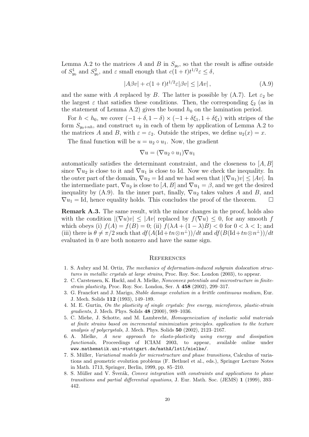Lemma A.2 to the matrices A and B in  $S_{y_0}$ , so that the result is affine outside of  $S_{y_0}^1$  and  $S_{y_0}^2$ , and  $\varepsilon$  small enough that  $c(1+t)t^{1/2}\varepsilon \leq \delta$ ,

$$
|A\beta v| + c(1+t)t^{1/2}\varepsilon|\beta v| \le |Av|,\tag{A.9}
$$

and the same with A replaced by B. The latter is possible by  $(A.7)$ . Let  $\varepsilon_2$  be the largest  $\varepsilon$  that satisfies these conditions. Then, the corresponding  $\xi_2$  (as in the statement of Lemma A.2) gives the bound  $h_0$  on the lamination period.

For  $h < h_0$ , we cover  $(-1 + \delta, 1 - \delta) \times (-1 + \delta\xi_1, 1 + \delta\xi_1)$  with stripes of the form  $S_{y_0+nh}$ , and construct  $u_2$  in each of them by application of Lemma A.2 to the matrices A and B, with  $\varepsilon = \varepsilon_2$ . Outside the stripes, we define  $u_2(x) = x$ .

The final function will be  $u = u_2 \circ u_1$ . Now, the gradient

$$
\nabla u = (\nabla u_2 \circ u_1) \nabla u_1
$$

automatically satisfies the determinant constraint, and the closeness to  $[A, B]$ since  $\nabla u_2$  is close to it and  $\nabla u_1$  is close to Id. Now we check the inequality. In the outer part of the domain,  $\nabla u_2 = \text{Id}$  and we had seen that  $|(\nabla u_1)v| \leq |Av|$ . In the intermediate part,  $\nabla u_2$  is close to [A, B] and  $\nabla u_1 = \beta$ , and we get the desired inequality by (A.9). In the inner part, finally,  $\nabla u_2$  takes values A and B, and  $\nabla u_1 = \text{Id}$ , hence equality holds. This concludes the proof of the theorem.  $\square$ 

**Remark A.3.** The same result, with the minor changes in the proof, holds also with the condition  $|(\nabla u)v| \leq |Av|$  replaced by  $f(\nabla u) \leq 0$ , for any smooth f which obeys (i)  $f(A) = f(B) = 0$ ; (ii)  $f(\lambda A + (1 - \lambda)B) < 0$  for  $0 < \lambda < 1$ ; and (iii) there is  $\theta \neq \pi/2$  such that  $df(A(\text{Id} + tn \otimes n^{\perp}))/dt$  and  $df(B(\text{Id} + tn \otimes n^{\perp}))/dt$ evaluated in 0 are both nonzero and have the same sign.

#### **REFERENCES**

- 1. S. Aubry and M. Ortiz, *The mechanics of deformation-induced subgrain dislocation structures in metallic crystals at large strains*, Proc. Roy. Soc. London (2003), to appear.
- 2. C. Carstensen, K. Hackl, and A. Mielke, *Nonconvex potentials and microstructure in finitestrain plasticity*, Proc. Roy. Soc. London, Ser. A **458** (2002), 299–317.
- 3. G. Francfort and J. Marigo, *Stable damage evolution in a brittle continuous medium*, Eur. J. Mech. Solids **112** (1993), 149–189.
- 4. M. E. Gurtin, *On the plasticity of single crystals: free energy, microforces, plastic-strain gradients*, J. Mech. Phys. Solids **48** (2000), 989–1036.
- 5. C. Miehe, J. Schotte, and M. Lambrecht, *Homogeneization of inelastic solid materials at finite strains based on incremental minimization principles. application to the texture analysis of polycrystals*, J. Mech. Phys. Solids **50** (2002), 2123–2167.
- 6. A. Mielke, *A new approach to elasto-plasticity using energy and dissipation functionals*, Proceedings of ICIAM 2003, to appear, available online under www.mathematik.uni-stuttgart.de/mathA/lst1/mielke/.
- 7. S. M¨uller, *Variational models for microstructure and phase transitions*, Calculus of variations and geometric evolution problems (F. Bethuel et al., eds.), Springer Lecture Notes in Math. 1713, Springer, Berlin, 1999, pp. 85–210.
- 8. S. Müller and V. Šverák, *Convex integration with constraints and applications to phase transitions and partial differential equations*, J. Eur. Math. Soc. (JEMS) **1** (1999), 393– 442.